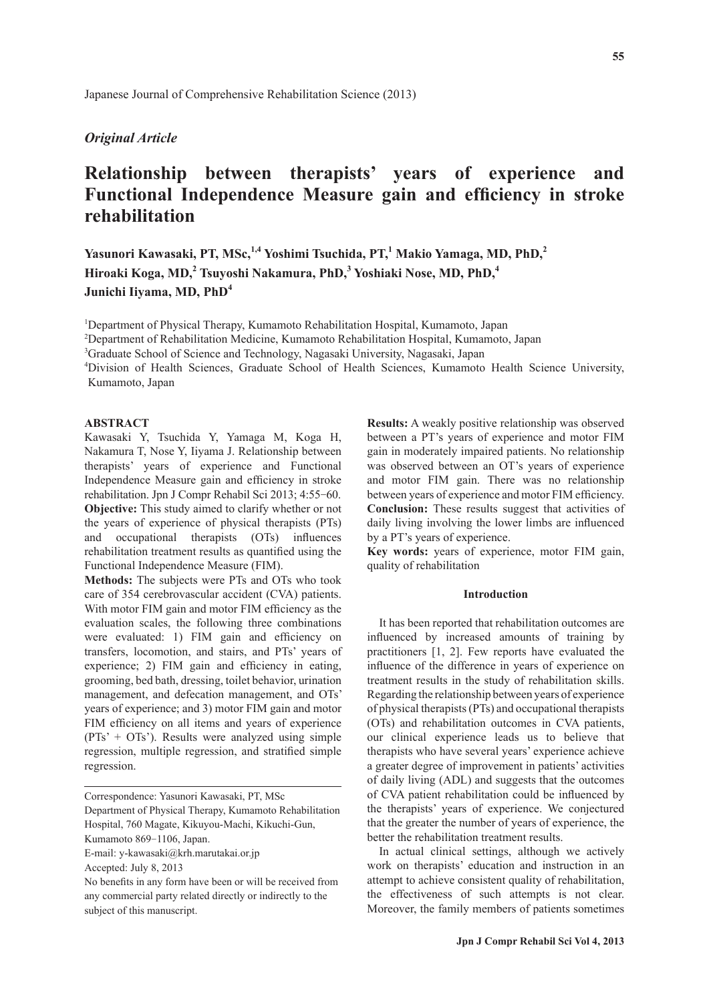# *Original Article*

# **Relationship between therapists' years of experience and Functional Independence Measure gain and efficiency in stroke rehabilitation**

**Yasunori Kawasaki, PT, MSc,1,4 Yoshimi Tsuchida, PT,<sup>1</sup> Makio Yamaga, MD, PhD,<sup>2</sup> Hiroaki Koga, MD,<sup>2</sup> Tsuyoshi Nakamura, PhD,<sup>3</sup> Yoshiaki Nose, MD, PhD,<sup>4</sup> Junichi Iiyama, MD, PhD<sup>4</sup>**

<sup>1</sup>Department of Physical Therapy, Kumamoto Rehabilitation Hospital, Kumamoto, Japan

2 Department of Rehabilitation Medicine, Kumamoto Rehabilitation Hospital, Kumamoto, Japan

<sup>3</sup>Graduate School of Science and Technology, Nagasaki University, Nagasaki, Japan

4 Division of Health Sciences, Graduate School of Health Sciences, Kumamoto Health Science University, Kumamoto, Japan

## **ABSTRACT**

Kawasaki Y, Tsuchida Y, Yamaga M, Koga H, Nakamura T, Nose Y, Iiyama J. Relationship between therapists' years of experience and Functional Independence Measure gain and efficiency in stroke rehabilitation. Jpn J Compr Rehabil Sci 2013; 4:55-60. **Objective:** This study aimed to clarify whether or not the years of experience of physical therapists (PTs) and occupational therapists (OTs) influences rehabilitation treatment results as quantified using the Functional Independence Measure (FIM).

**Methods:** The subjects were PTs and OTs who took care of 354 cerebrovascular accident (CVA) patients. With motor FIM gain and motor FIM efficiency as the evaluation scales, the following three combinations were evaluated: 1) FIM gain and efficiency on transfers, locomotion, and stairs, and PTs' years of experience; 2) FIM gain and efficiency in eating, grooming, bed bath, dressing, toilet behavior, urination management, and defecation management, and OTs' years of experience; and 3) motor FIM gain and motor FIM efficiency on all items and years of experience  $(PTs' + OTs')$ . Results were analyzed using simple regression, multiple regression, and stratified simple regression.

Hospital, 760 Magate, Kikuyou-Machi, Kikuchi-Gun,

**Results:** A weakly positive relationship was observed between a PT's years of experience and motor FIM gain in moderately impaired patients. No relationship was observed between an OT's years of experience and motor FIM gain. There was no relationship between years of experience and motor FIM efficiency. **Conclusion:** These results suggest that activities of daily living involving the lower limbs are influenced by a PT's years of experience.

**Key words:** years of experience, motor FIM gain, quality of rehabilitation

## **Introduction**

It has been reported that rehabilitation outcomes are influenced by increased amounts of training by practitioners [1, 2]. Few reports have evaluated the influence of the difference in years of experience on treatment results in the study of rehabilitation skills. Regarding the relationship between years of experience of physical therapists (PTs) and occupational therapists (OTs) and rehabilitation outcomes in CVA patients, our clinical experience leads us to believe that therapists who have several years' experience achieve a greater degree of improvement in patients' activities of daily living (ADL) and suggests that the outcomes of CVA patient rehabilitation could be influenced by the therapists' years of experience. We conjectured that the greater the number of years of experience, the better the rehabilitation treatment results.

In actual clinical settings, although we actively work on therapists' education and instruction in an attempt to achieve consistent quality of rehabilitation, the effectiveness of such attempts is not clear. Moreover, the family members of patients sometimes

Correspondence: Yasunori Kawasaki, PT, MSc Department of Physical Therapy, Kumamoto Rehabilitation

Kumamoto 869-1106, Japan.

E-mail: y-kawasaki@krh.marutakai.or.jp

Accepted: July 8, 2013

No benefits in any form have been or will be received from any commercial party related directly or indirectly to the subject of this manuscript.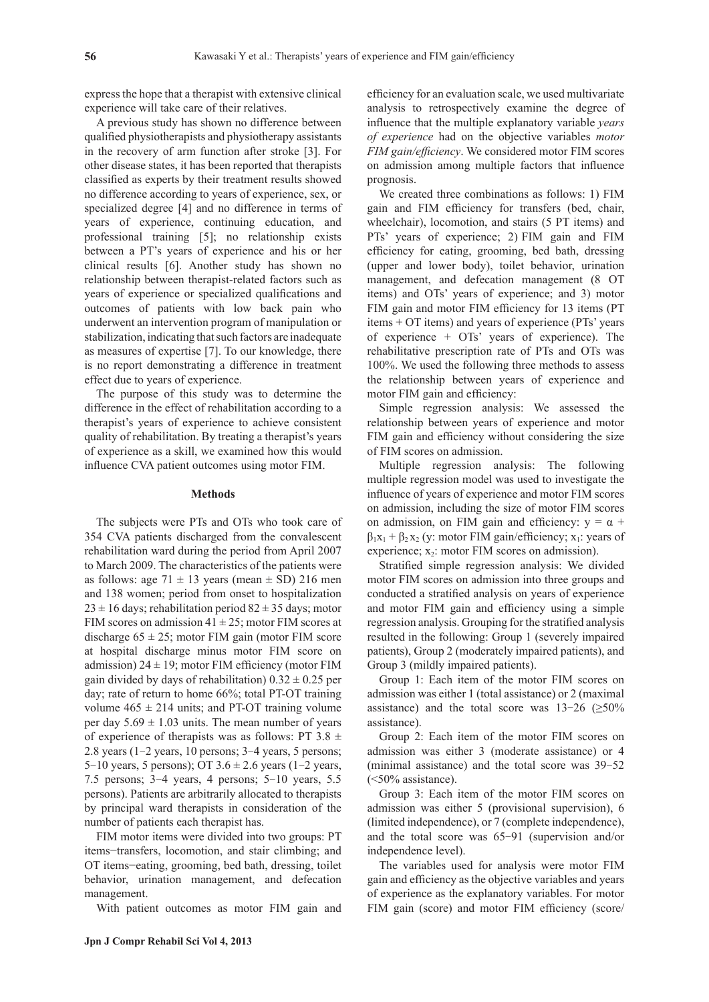express the hope that a therapist with extensive clinical experience will take care of their relatives.

A previous study has shown no difference between qualified physiotherapists and physiotherapy assistants in the recovery of arm function after stroke [3]. For other disease states, it has been reported that therapists classified as experts by their treatment results showed no difference according to years of experience, sex, or specialized degree [4] and no difference in terms of years of experience, continuing education, and professional training [5]; no relationship exists between a PT's years of experience and his or her clinical results [6]. Another study has shown no relationship between therapist-related factors such as years of experience or specialized qualifications and outcomes of patients with low back pain who underwent an intervention program of manipulation or stabilization, indicating that such factors are inadequate as measures of expertise [7]. To our knowledge, there is no report demonstrating a difference in treatment effect due to years of experience.

The purpose of this study was to determine the difference in the effect of rehabilitation according to a therapist's years of experience to achieve consistent quality of rehabilitation. By treating a therapist's years of experience as a skill, we examined how this would influence CVA patient outcomes using motor FIM.

#### **Methods**

The subjects were PTs and OTs who took care of 354 CVA patients discharged from the convalescent rehabilitation ward during the period from April 2007 to March 2009. The characteristics of the patients were as follows: age  $71 \pm 13$  years (mean  $\pm$  SD) 216 men and 138 women; period from onset to hospitalization  $23 \pm 16$  days; rehabilitation period  $82 \pm 35$  days; motor FIM scores on admission  $41 \pm 25$ ; motor FIM scores at discharge  $65 \pm 25$ ; motor FIM gain (motor FIM score at hospital discharge minus motor FIM score on admission)  $24 \pm 19$ ; motor FIM efficiency (motor FIM gain divided by days of rehabilitation)  $0.32 \pm 0.25$  per day; rate of return to home 66%; total PT-OT training volume  $465 \pm 214$  units; and PT-OT training volume per day  $5.69 \pm 1.03$  units. The mean number of years of experience of therapists was as follows: PT 3.8  $\pm$ 2.8 years (1-2 years, 10 persons; 3-4 years, 5 persons; 5-10 years, 5 persons); OT  $3.6 \pm 2.6$  years (1-2 years, 7.5 persons; 3-4 years, 4 persons; 5-10 years, 5.5 persons). Patients are arbitrarily allocated to therapists by principal ward therapists in consideration of the number of patients each therapist has.

FIM motor items were divided into two groups: PT items−transfers, locomotion, and stair climbing; and OT items−eating, grooming, bed bath, dressing, toilet behavior, urination management, and defecation management.

With patient outcomes as motor FIM gain and

efficiency for an evaluation scale, we used multivariate analysis to retrospectively examine the degree of influence that the multiple explanatory variable *years of experience* had on the objective variables *motor FIM gain/efficiency*. We considered motor FIM scores on admission among multiple factors that influence prognosis.

We created three combinations as follows: 1) FIM gain and FIM efficiency for transfers (bed, chair, wheelchair), locomotion, and stairs (5 PT items) and PTs' years of experience; 2) FIM gain and FIM efficiency for eating, grooming, bed bath, dressing (upper and lower body), toilet behavior, urination management, and defecation management (8 OT items) and OTs' years of experience; and 3) motor FIM gain and motor FIM efficiency for 13 items (PT items + OT items) and years of experience (PTs' years of experience + OTs' years of experience). The rehabilitative prescription rate of PTs and OTs was 100%. We used the following three methods to assess the relationship between years of experience and motor FIM gain and efficiency:

Simple regression analysis: We assessed the relationship between years of experience and motor FIM gain and efficiency without considering the size of FIM scores on admission.

Multiple regression analysis: The following multiple regression model was used to investigate the influence of years of experience and motor FIM scores on admission, including the size of motor FIM scores on admission, on FIM gain and efficiency:  $y = \alpha +$  $\beta_1x_1 + \beta_2x_2$  (y: motor FIM gain/efficiency; x<sub>1</sub>: years of experience;  $x_2$ : motor FIM scores on admission).

Stratified simple regression analysis: We divided motor FIM scores on admission into three groups and conducted a stratified analysis on years of experience and motor FIM gain and efficiency using a simple regression analysis. Grouping for the stratified analysis resulted in the following: Group 1 (severely impaired patients), Group 2 (moderately impaired patients), and Group 3 (mildly impaired patients).

Group 1: Each item of the motor FIM scores on admission was either 1 (total assistance) or 2 (maximal assistance) and the total score was  $13-26$  ( $\geq 50\%$ ) assistance).

Group 2: Each item of the motor FIM scores on admission was either 3 (moderate assistance) or 4 (minimal assistance) and the total score was 39-52 (<50% assistance).

Group 3: Each item of the motor FIM scores on admission was either 5 (provisional supervision), 6 (limited independence), or 7 (complete independence), and the total score was 65-91 (supervision and/or independence level).

The variables used for analysis were motor FIM gain and efficiency as the objective variables and years of experience as the explanatory variables. For motor FIM gain (score) and motor FIM efficiency (score/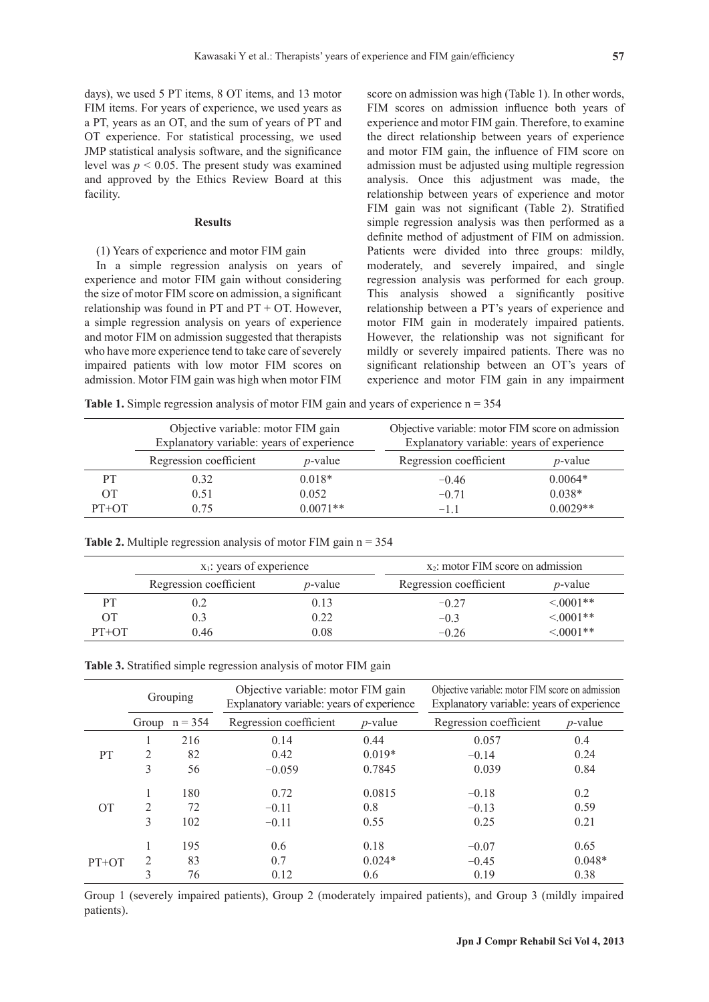days), we used 5 PT items, 8 OT items, and 13 motor FIM items. For years of experience, we used years as a PT, years as an OT, and the sum of years of PT and OT experience. For statistical processing, we used JMP statistical analysis software, and the significance level was  $p \le 0.05$ . The present study was examined and approved by the Ethics Review Board at this facility.

#### **Results**

# (1) Years of experience and motor FIM gain

In a simple regression analysis on years of experience and motor FIM gain without considering the size of motor FIM score on admission, a significant relationship was found in  $PT$  and  $PT$  +  $OT$ . However, a simple regression analysis on years of experience and motor FIM on admission suggested that therapists who have more experience tend to take care of severely impaired patients with low motor FIM scores on admission. Motor FIM gain was high when motor FIM

score on admission was high (Table 1). In other words, FIM scores on admission influence both years of experience and motor FIM gain. Therefore, to examine the direct relationship between years of experience and motor FIM gain, the influence of FIM score on admission must be adjusted using multiple regression analysis. Once this adjustment was made, the relationship between years of experience and motor FIM gain was not significant (Table 2). Stratified simple regression analysis was then performed as a definite method of adjustment of FIM on admission. Patients were divided into three groups: mildly, moderately, and severely impaired, and single regression analysis was performed for each group. This analysis showed a significantly positive relationship between a PT's years of experience and motor FIM gain in moderately impaired patients. However, the relationship was not significant for mildly or severely impaired patients. There was no significant relationship between an OT's years of experience and motor FIM gain in any impairment

**Table 1.** Simple regression analysis of motor FIM gain and years of experience  $n = 354$ 

|         | Objective variable: motor FIM gain<br>Explanatory variable: years of experience |                 | Objective variable: motor FIM score on admission<br>Explanatory variable: years of experience |            |  |
|---------|---------------------------------------------------------------------------------|-----------------|-----------------------------------------------------------------------------------------------|------------|--|
|         | Regression coefficient                                                          | <i>p</i> -value | Regression coefficient                                                                        | $p$ -value |  |
| PТ      | 0.32                                                                            | $0.018*$        | $-0.46$                                                                                       | $0.0064*$  |  |
| OT      | 0.51                                                                            | 0.052           | $-0.71$                                                                                       | $0.038*$   |  |
| $PT+OT$ | 0.75                                                                            | $0.0071**$      | $-11$                                                                                         | $0.0029**$ |  |

|         | $x_1$ : years of experience |                 | $x_2$ : motor FIM score on admission |                 |  |
|---------|-----------------------------|-----------------|--------------------------------------|-----------------|--|
|         | Regression coefficient      | <i>p</i> -value | Regression coefficient               | <i>p</i> -value |  |
|         | 0.2                         | 0.13            | $-0.27$                              | $< 0001**$      |  |
|         | 0.3                         | 0.22            | $-0.3$                               | $< 0001**$      |  |
| $PT+OT$ | 0.46                        | 0.08            | $-0.26$                              | $< 0001**$      |  |

| Table 3. Stratified simple regression analysis of motor FIM gain |  |  |  |
|------------------------------------------------------------------|--|--|--|
|                                                                  |  |  |  |

**Table 2.** Multiple regression analysis of motor FIM gain  $n = 354$ 

|                 | Grouping       |                 | Objective variable: motor FIM gain<br>Explanatory variable: years of experience |            | Objective variable: motor FIM score on admission<br>Explanatory variable: years of experience |            |  |
|-----------------|----------------|-----------------|---------------------------------------------------------------------------------|------------|-----------------------------------------------------------------------------------------------|------------|--|
|                 |                | Group $n = 354$ | Regression coefficient                                                          | $p$ -value | Regression coefficient                                                                        | $p$ -value |  |
|                 |                | 216             | 0.14                                                                            | 0.44       | 0.057                                                                                         | 0.4        |  |
| PT              | 2              | 82              | 0.42                                                                            | $0.019*$   | $-0.14$                                                                                       | 0.24       |  |
|                 | 3              | 56              | $-0.059$                                                                        | 0.7845     | 0.039                                                                                         | 0.84       |  |
|                 |                | 180             | 0.72                                                                            | 0.0815     | $-0.18$                                                                                       | 0.2        |  |
| $\overline{OT}$ | $\overline{2}$ | 72              | $-0.11$                                                                         | 0.8        | $-0.13$                                                                                       | 0.59       |  |
|                 | 3              | 102             | $-0.11$                                                                         | 0.55       | 0.25                                                                                          | 0.21       |  |
|                 |                | 195             | 0.6                                                                             | 0.18       | $-0.07$                                                                                       | 0.65       |  |
| $PT+OT$         | 2              | 83              | 0.7                                                                             | $0.024*$   | $-0.45$                                                                                       | $0.048*$   |  |
|                 | 3              | 76              | 0.12                                                                            | 0.6        | 0.19                                                                                          | 0.38       |  |

Group 1 (severely impaired patients), Group 2 (moderately impaired patients), and Group 3 (mildly impaired patients).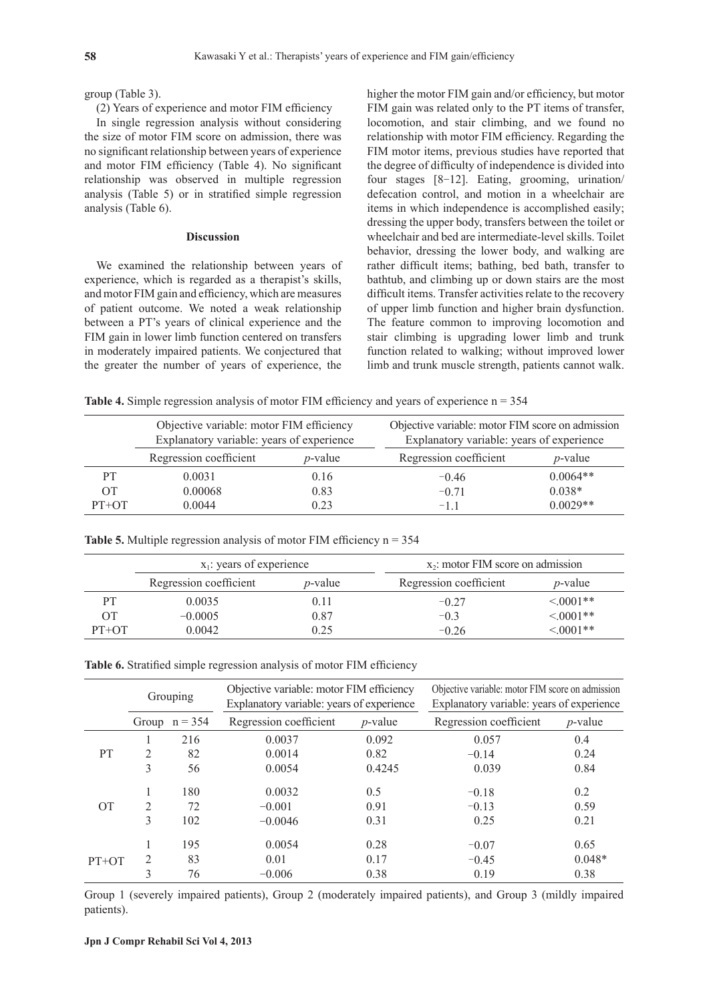group (Table 3).

(2) Years of experience and motor FIM efficiency

In single regression analysis without considering the size of motor FIM score on admission, there was no significant relationship between years of experience and motor FIM efficiency (Table 4). No significant relationship was observed in multiple regression analysis (Table 5) or in stratified simple regression analysis (Table 6).

#### **Discussion**

We examined the relationship between years of experience, which is regarded as a therapist's skills, and motor FIM gain and efficiency, which are measures of patient outcome. We noted a weak relationship between a PT's years of clinical experience and the FIM gain in lower limb function centered on transfers in moderately impaired patients. We conjectured that the greater the number of years of experience, the higher the motor FIM gain and/or efficiency, but motor FIM gain was related only to the PT items of transfer, locomotion, and stair climbing, and we found no relationship with motor FIM efficiency. Regarding the FIM motor items, previous studies have reported that the degree of difficulty of independence is divided into four stages [8-12]. Eating, grooming, urination/ defecation control, and motion in a wheelchair are items in which independence is accomplished easily; dressing the upper body, transfers between the toilet or wheelchair and bed are intermediate-level skills. Toilet behavior, dressing the lower body, and walking are rather difficult items; bathing, bed bath, transfer to bathtub, and climbing up or down stairs are the most difficult items. Transfer activities relate to the recovery of upper limb function and higher brain dysfunction. The feature common to improving locomotion and stair climbing is upgrading lower limb and trunk function related to walking; without improved lower limb and trunk muscle strength, patients cannot walk.

**Table 4.** Simple regression analysis of motor FIM efficiency and years of experience  $n = 354$ 

|           | Objective variable: motor FIM efficiency<br>Explanatory variable: years of experience |            | Objective variable: motor FIM score on admission<br>Explanatory variable: years of experience |            |  |
|-----------|---------------------------------------------------------------------------------------|------------|-----------------------------------------------------------------------------------------------|------------|--|
|           | Regression coefficient                                                                | $p$ -value | Regression coefficient                                                                        | $p$ -value |  |
| <b>PT</b> | 0.0031                                                                                | 0.16       | $-0.46$                                                                                       | $0.0064**$ |  |
| 0T        | 0.00068                                                                               | 0.83       | $-0.71$                                                                                       | $0.038*$   |  |
| $PT+OT$   | 0.0044                                                                                | 0.23       | $-1.1$                                                                                        | $0.0029**$ |  |

|  | <b>Table 5.</b> Multiple regression analysis of motor FIM efficiency $n = 354$ |  |  |  |
|--|--------------------------------------------------------------------------------|--|--|--|
|  |                                                                                |  |  |  |

|         | $x_1$ : years of experience |                 | $x_2$ : motor FIM score on admission |                 |  |
|---------|-----------------------------|-----------------|--------------------------------------|-----------------|--|
|         | Regression coefficient      | <i>p</i> -value | Regression coefficient               | <i>p</i> -value |  |
| PT      | 0.0035                      | 0.11            | $-0.27$                              | $<0001**$       |  |
| OТ      | $-0.0005$                   | 0.87            | $-0.3$                               | $< 0001**$      |  |
| $PT+OT$ | 0.0042                      | 0.25            | $-0.26$                              | $< 0.001**$     |  |

| Table 6. Stratified simple regression analysis of motor FIM efficiency |  |  |  |  |  |  |
|------------------------------------------------------------------------|--|--|--|--|--|--|
|------------------------------------------------------------------------|--|--|--|--|--|--|

|                 | Grouping       |                 | Objective variable: motor FIM efficiency<br>Explanatory variable: years of experience |            | Objective variable: motor FIM score on admission<br>Explanatory variable: years of experience |            |  |
|-----------------|----------------|-----------------|---------------------------------------------------------------------------------------|------------|-----------------------------------------------------------------------------------------------|------------|--|
|                 |                | Group $n = 354$ | Regression coefficient                                                                | $p$ -value | Regression coefficient                                                                        | $p$ -value |  |
|                 |                | 216             | 0.0037                                                                                | 0.092      | 0.057                                                                                         | 0.4        |  |
| <b>PT</b>       | $\mathfrak{D}$ | 82              | 0.0014                                                                                | 0.82       | $-0.14$                                                                                       | 0.24       |  |
|                 | 3              | 56              | 0.0054                                                                                | 0.4245     | 0.039                                                                                         | 0.84       |  |
|                 |                | 180             | 0.0032                                                                                | 0.5        | $-0.18$                                                                                       | 0.2        |  |
| $\overline{OT}$ | $\mathfrak{D}$ | 72              | $-0.001$                                                                              | 0.91       | $-0.13$                                                                                       | 0.59       |  |
|                 | 3              | 102             | $-0.0046$                                                                             | 0.31       | 0.25                                                                                          | 0.21       |  |
|                 |                | 195             | 0.0054                                                                                | 0.28       | $-0.07$                                                                                       | 0.65       |  |
| $PT+OT$         | 2              | 83              | 0.01                                                                                  | 0.17       | $-0.45$                                                                                       | $0.048*$   |  |
|                 | 3              | 76              | $-0.006$                                                                              | 0.38       | 0.19                                                                                          | 0.38       |  |

Group 1 (severely impaired patients), Group 2 (moderately impaired patients), and Group 3 (mildly impaired patients).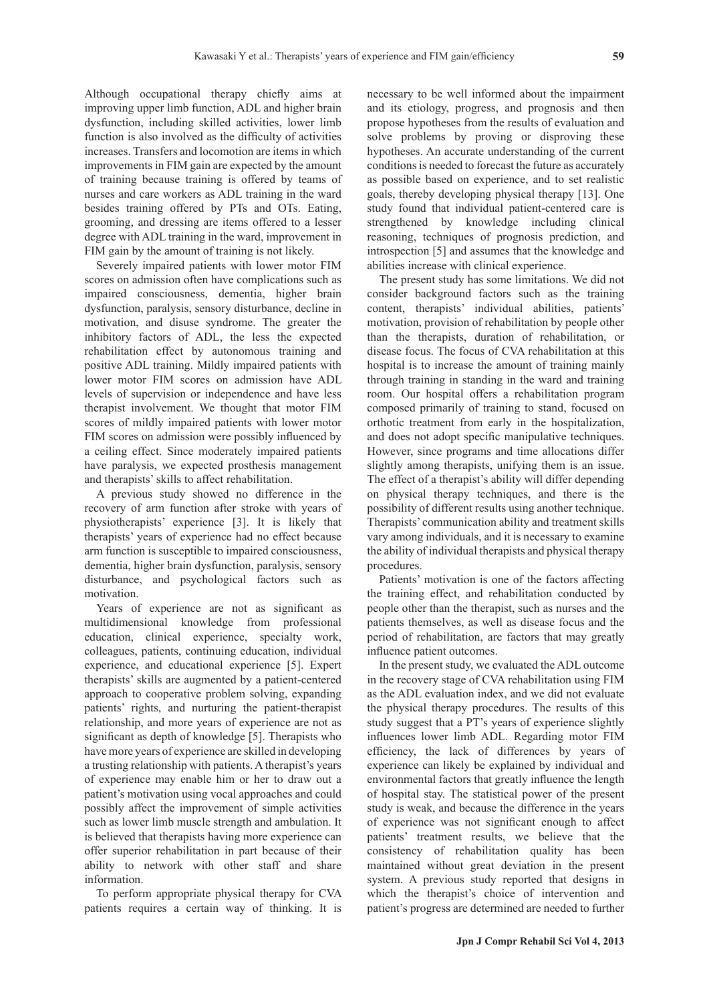Although occupational therapy chiefly aims at improving upper limb function, ADL and higher brain dysfunction, including skilled activities, lower limb function is also involved as the difficulty of activities increases. Transfers and locomotion are items in which improvements in FIM gain are expected by the amount of training because training is offered by teams of nurses and care workers as ADL training in the ward besides training offered by PTs and OTs. Eating, grooming, and dressing are items offered to a lesser degree with ADL training in the ward, improvement in FIM gain by the amount of training is not likely.

Severely impaired patients with lower motor FIM scores on admission often have complications such as impaired consciousness, dementia, higher brain dysfunction, paralysis, sensory disturbance, decline in motivation, and disuse syndrome. The greater the inhibitory factors of ADL, the less the expected rehabilitation effect by autonomous training and positive ADL training. Mildly impaired patients with lower motor FIM scores on admission have ADL levels of supervision or independence and have less therapist involvement. We thought that motor FIM scores of mildly impaired patients with lower motor FIM scores on admission were possibly influenced by a ceiling effect. Since moderately impaired patients have paralysis, we expected prosthesis management and therapists' skills to affect rehabilitation.

A previous study showed no difference in the recovery of arm function after stroke with years of physiotherapists' experience [3]. It is likely that therapists' years of experience had no effect because arm function is susceptible to impaired consciousness, dementia, higher brain dysfunction, paralysis, sensory disturbance, and psychological factors such as motivation.

Years of experience are not as significant as multidimensional knowledge from professional education, clinical experience, specialty work, colleagues, patients, continuing education, individual experience, and educational experience [5]. Expert therapists' skills are augmented by a patient-centered approach to cooperative problem solving, expanding patients' rights, and nurturing the patient-therapist relationship, and more years of experience are not as significant as depth of knowledge [5]. Therapists who have more years of experience are skilled in developing a trusting relationship with patients. A therapist's years of experience may enable him or her to draw out a patient's motivation using vocal approaches and could possibly affect the improvement of simple activities such as lower limb muscle strength and ambulation. It is believed that therapists having more experience can offer superior rehabilitation in part because of their ability to network with other staff and share information.

To perform appropriate physical therapy for CVA patients requires a certain way of thinking. It is necessary to be well informed about the impairment and its etiology, progress, and prognosis and then propose hypotheses from the results of evaluation and solve problems by proving or disproving these hypotheses. An accurate understanding of the current conditions is needed to forecast the future as accurately as possible based on experience, and to set realistic goals, thereby developing physical therapy [13]. One study found that individual patient-centered care is strengthened by knowledge including clinical reasoning, techniques of prognosis prediction, and introspection [5] and assumes that the knowledge and abilities increase with clinical experience.

The present study has some limitations. We did not consider background factors such as the training content, therapists' individual abilities, patients' motivation, provision of rehabilitation by people other than the therapists, duration of rehabilitation, or disease focus. The focus of CVA rehabilitation at this hospital is to increase the amount of training mainly through training in standing in the ward and training room. Our hospital offers a rehabilitation program composed primarily of training to stand, focused on orthotic treatment from early in the hospitalization, and does not adopt specific manipulative techniques. However, since programs and time allocations differ slightly among therapists, unifying them is an issue. The effect of a therapist's ability will differ depending on physical therapy techniques, and there is the possibility of different results using another technique. Therapists' communication ability and treatment skills vary among individuals, and it is necessary to examine the ability of individual therapists and physical therapy procedures.

Patients' motivation is one of the factors affecting the training effect, and rehabilitation conducted by people other than the therapist, such as nurses and the patients themselves, as well as disease focus and the period of rehabilitation, are factors that may greatly influence patient outcomes.

In the present study, we evaluated the ADL outcome in the recovery stage of CVA rehabilitation using FIM as the ADL evaluation index, and we did not evaluate the physical therapy procedures. The results of this study suggest that a PT's years of experience slightly influences lower limb ADL. Regarding motor FIM efficiency, the lack of differences by years of experience can likely be explained by individual and environmental factors that greatly influence the length of hospital stay. The statistical power of the present study is weak, and because the difference in the years of experience was not significant enough to affect patients' treatment results, we believe that the consistency of rehabilitation quality has been maintained without great deviation in the present system. A previous study reported that designs in which the therapist's choice of intervention and patient's progress are determined are needed to further